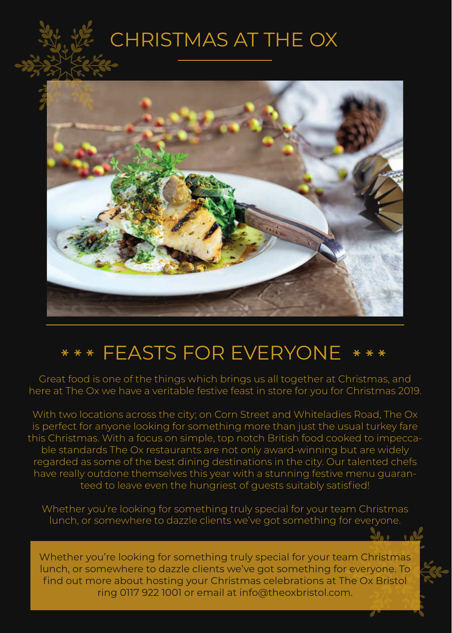# CHRISTMAS AT THE OX



# FEASTS FOR EVERYONE

Great food is one of the things which brings us all together at Christmas, and here at The Ox we have a veritable festive feast in store for you for Christmas 2019.

With two locations across the city; on Corn Street and Whiteladies Road, The Ox is perfect for anyone looking for something more than just the usual turkey fare this Christmas. With a focus on simple, top notch British food cooked to impeccable standards The Ox restaurants are not only award-winning but are widely regarded as some of the best dining destinations in the city. Our talented chefs have really outdone themselves this year with a stunning festive menu guaranteed to leave even the hungriest of guests suitably satisfied!

Whether you're looking for something truly special for your team Christmas lunch, or somewhere to dazzle clients we've got something for everyone.

Whether you're looking for something truly special for your team Christmas lunch, or somewhere to dazzle clients we've got something for everyone. To find out more about hosting your Christmas celebrations at The Ox Bristol ring 0117 922 1001 or email at info@theoxbristol.com.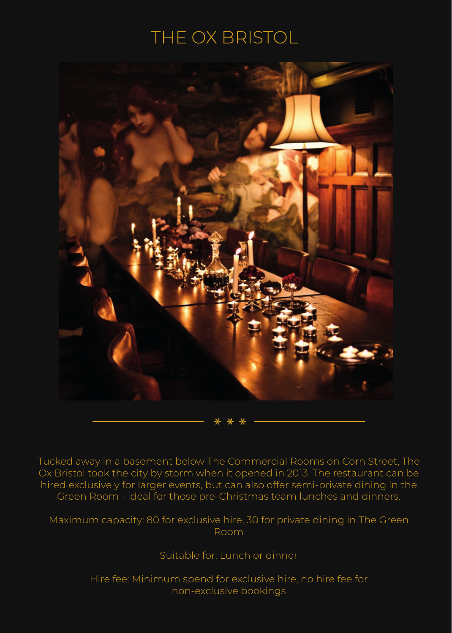### THE OX BRISTOL



Tucked away in a basement below The Commercial Rooms on Corn Street, The Ox Bristol took the city by storm when it opened in 2013. The restaurant can be hired exclusively for larger events, but can also offer semi-private dining in the Green Room - ideal for those pre-Christmas team lunches and dinners.

Maximum capacity: 80 for exclusive hire, 30 for private dining in The Green Room

Suitable for: Lunch or dinner

Hire fee: Minimum spend for exclusive hire, no hire fee for non-exclusive bookings